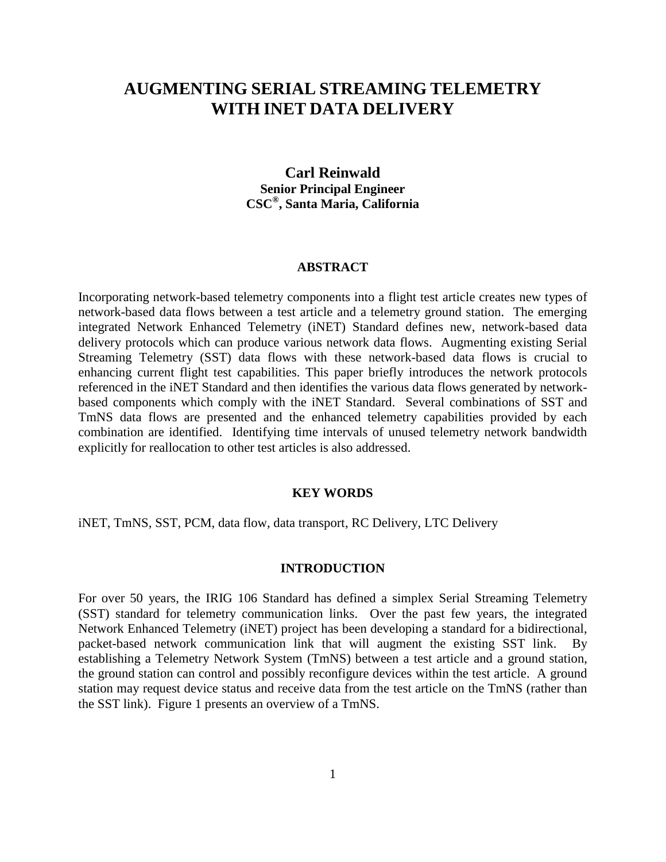# **AUGMENTING SERIAL STREAMING TELEMETRY WITH INET DATA DELIVERY**

## **Carl Reinwald Senior Principal Engineer CSC® , Santa Maria, California**

#### **ABSTRACT**

Incorporating network-based telemetry components into a flight test article creates new types of network-based data flows between a test article and a telemetry ground station. The emerging integrated Network Enhanced Telemetry (iNET) Standard defines new, network-based data delivery protocols which can produce various network data flows. Augmenting existing Serial Streaming Telemetry (SST) data flows with these network-based data flows is crucial to enhancing current flight test capabilities. This paper briefly introduces the network protocols referenced in the iNET Standard and then identifies the various data flows generated by networkbased components which comply with the iNET Standard. Several combinations of SST and TmNS data flows are presented and the enhanced telemetry capabilities provided by each combination are identified. Identifying time intervals of unused telemetry network bandwidth explicitly for reallocation to other test articles is also addressed.

#### **KEY WORDS**

iNET, TmNS, SST, PCM, data flow, data transport, RC Delivery, LTC Delivery

### **INTRODUCTION**

For over 50 years, the IRIG 106 Standard has defined a simplex Serial Streaming Telemetry (SST) standard for telemetry communication links. Over the past few years, the integrated Network Enhanced Telemetry (iNET) project has been developing a standard for a bidirectional, packet-based network communication link that will augment the existing SST link. By establishing a Telemetry Network System (TmNS) between a test article and a ground station, the ground station can control and possibly reconfigure devices within the test article. A ground station may request device status and receive data from the test article on the TmNS (rather than the SST link). Figure 1 presents an overview of a TmNS.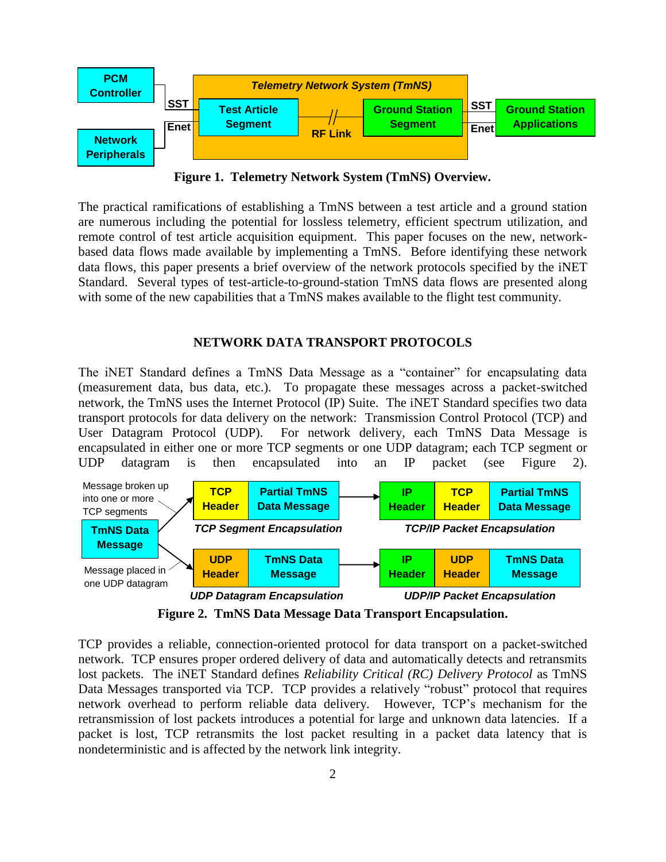

**Figure 1. Telemetry Network System (TmNS) Overview.**

The practical ramifications of establishing a TmNS between a test article and a ground station are numerous including the potential for lossless telemetry, efficient spectrum utilization, and remote control of test article acquisition equipment. This paper focuses on the new, networkbased data flows made available by implementing a TmNS. Before identifying these network data flows, this paper presents a brief overview of the network protocols specified by the iNET Standard. Several types of test-article-to-ground-station TmNS data flows are presented along with some of the new capabilities that a TmNS makes available to the flight test community.

### **NETWORK DATA TRANSPORT PROTOCOLS**

The iNET Standard defines a TmNS Data Message as a "container" for encapsulating data (measurement data, bus data, etc.). To propagate these messages across a packet-switched network, the TmNS uses the Internet Protocol (IP) Suite. The iNET Standard specifies two data transport protocols for data delivery on the network: Transmission Control Protocol (TCP) and User Datagram Protocol (UDP). For network delivery, each TmNS Data Message is encapsulated in either one or more TCP segments or one UDP datagram; each TCP segment or UDP datagram is then encapsulated into an IP packet (see Figure 2).



**Figure 2. TmNS Data Message Data Transport Encapsulation.**

TCP provides a reliable, connection-oriented protocol for data transport on a packet-switched network. TCP ensures proper ordered delivery of data and automatically detects and retransmits lost packets. The iNET Standard defines *Reliability Critical (RC) Delivery Protocol* as TmNS Data Messages transported via TCP. TCP provides a relatively "robust" protocol that requires network overhead to perform reliable data delivery. However, TCP"s mechanism for the retransmission of lost packets introduces a potential for large and unknown data latencies. If a packet is lost, TCP retransmits the lost packet resulting in a packet data latency that is nondeterministic and is affected by the network link integrity.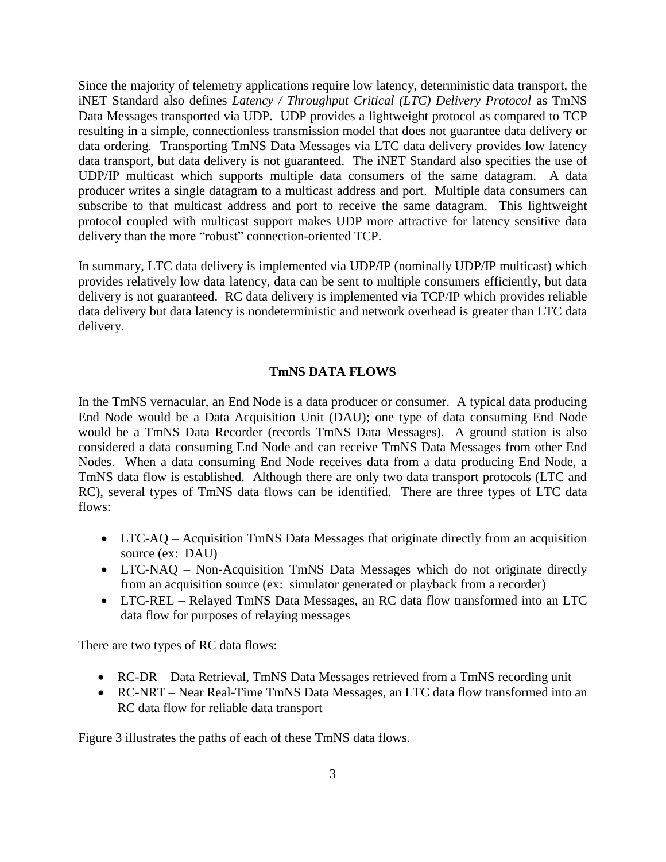Since the majority of telemetry applications require low latency, deterministic data transport, the iNET Standard also defines *Latency / Throughput Critical (LTC) Delivery Protocol* as TmNS Data Messages transported via UDP. UDP provides a lightweight protocol as compared to TCP resulting in a simple, connectionless transmission model that does not guarantee data delivery or data ordering. Transporting TmNS Data Messages via LTC data delivery provides low latency data transport, but data delivery is not guaranteed. The iNET Standard also specifies the use of UDP/IP multicast which supports multiple data consumers of the same datagram. A data producer writes a single datagram to a multicast address and port. Multiple data consumers can subscribe to that multicast address and port to receive the same datagram. This lightweight protocol coupled with multicast support makes UDP more attractive for latency sensitive data delivery than the more "robust" connection-oriented TCP.

In summary, LTC data delivery is implemented via UDP/IP (nominally UDP/IP multicast) which provides relatively low data latency, data can be sent to multiple consumers efficiently, but data delivery is not guaranteed. RC data delivery is implemented via TCP/IP which provides reliable data delivery but data latency is nondeterministic and network overhead is greater than LTC data delivery.

### **TmNS DATA FLOWS**

In the TmNS vernacular, an End Node is a data producer or consumer. A typical data producing End Node would be a Data Acquisition Unit (DAU); one type of data consuming End Node would be a TmNS Data Recorder (records TmNS Data Messages). A ground station is also considered a data consuming End Node and can receive TmNS Data Messages from other End Nodes. When a data consuming End Node receives data from a data producing End Node, a TmNS data flow is established. Although there are only two data transport protocols (LTC and RC), several types of TmNS data flows can be identified. There are three types of LTC data flows:

- LTC-AQ Acquisition TmNS Data Messages that originate directly from an acquisition source (ex: DAU)
- LTC-NAQ Non-Acquisition TmNS Data Messages which do not originate directly from an acquisition source (ex: simulator generated or playback from a recorder)
- LTC-REL Relayed TmNS Data Messages, an RC data flow transformed into an LTC data flow for purposes of relaying messages

There are two types of RC data flows:

- RC-DR Data Retrieval, TmNS Data Messages retrieved from a TmNS recording unit
- RC-NRT Near Real-Time TmNS Data Messages, an LTC data flow transformed into an RC data flow for reliable data transport

Figure 3 illustrates the paths of each of these TmNS data flows.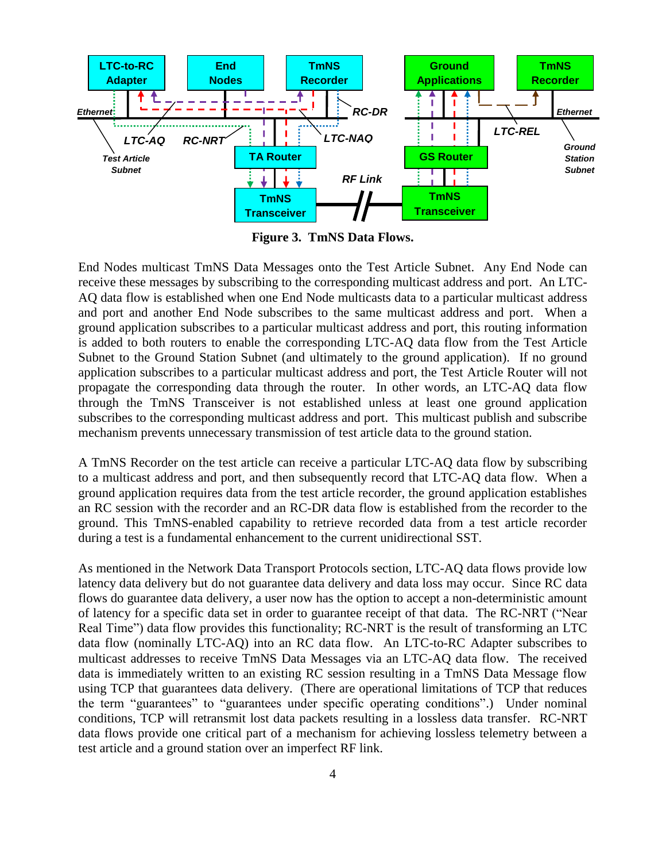

**Figure 3. TmNS Data Flows.**

End Nodes multicast TmNS Data Messages onto the Test Article Subnet. Any End Node can receive these messages by subscribing to the corresponding multicast address and port. An LTC-AQ data flow is established when one End Node multicasts data to a particular multicast address and port and another End Node subscribes to the same multicast address and port. When a ground application subscribes to a particular multicast address and port, this routing information is added to both routers to enable the corresponding LTC-AQ data flow from the Test Article Subnet to the Ground Station Subnet (and ultimately to the ground application). If no ground application subscribes to a particular multicast address and port, the Test Article Router will not propagate the corresponding data through the router. In other words, an LTC-AQ data flow through the TmNS Transceiver is not established unless at least one ground application subscribes to the corresponding multicast address and port. This multicast publish and subscribe mechanism prevents unnecessary transmission of test article data to the ground station.

A TmNS Recorder on the test article can receive a particular LTC-AQ data flow by subscribing to a multicast address and port, and then subsequently record that LTC-AQ data flow. When a ground application requires data from the test article recorder, the ground application establishes an RC session with the recorder and an RC-DR data flow is established from the recorder to the ground. This TmNS-enabled capability to retrieve recorded data from a test article recorder during a test is a fundamental enhancement to the current unidirectional SST.

As mentioned in the Network Data Transport Protocols section, LTC-AQ data flows provide low latency data delivery but do not guarantee data delivery and data loss may occur. Since RC data flows do guarantee data delivery, a user now has the option to accept a non-deterministic amount of latency for a specific data set in order to guarantee receipt of that data. The RC-NRT ("Near Real Time") data flow provides this functionality; RC-NRT is the result of transforming an LTC data flow (nominally LTC-AQ) into an RC data flow. An LTC-to-RC Adapter subscribes to multicast addresses to receive TmNS Data Messages via an LTC-AQ data flow. The received data is immediately written to an existing RC session resulting in a TmNS Data Message flow using TCP that guarantees data delivery. (There are operational limitations of TCP that reduces the term "guarantees" to "guarantees under specific operating conditions".) Under nominal conditions, TCP will retransmit lost data packets resulting in a lossless data transfer. RC-NRT data flows provide one critical part of a mechanism for achieving lossless telemetry between a test article and a ground station over an imperfect RF link.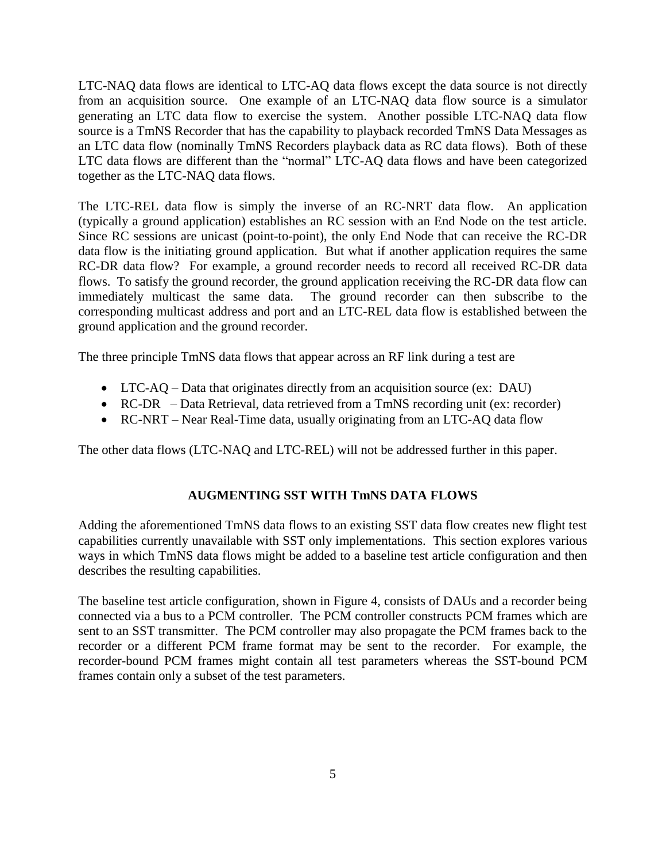LTC-NAQ data flows are identical to LTC-AQ data flows except the data source is not directly from an acquisition source. One example of an LTC-NAQ data flow source is a simulator generating an LTC data flow to exercise the system. Another possible LTC-NAQ data flow source is a TmNS Recorder that has the capability to playback recorded TmNS Data Messages as an LTC data flow (nominally TmNS Recorders playback data as RC data flows). Both of these LTC data flows are different than the "normal" LTC-AQ data flows and have been categorized together as the LTC-NAQ data flows.

The LTC-REL data flow is simply the inverse of an RC-NRT data flow. An application (typically a ground application) establishes an RC session with an End Node on the test article. Since RC sessions are unicast (point-to-point), the only End Node that can receive the RC-DR data flow is the initiating ground application. But what if another application requires the same RC-DR data flow? For example, a ground recorder needs to record all received RC-DR data flows. To satisfy the ground recorder, the ground application receiving the RC-DR data flow can immediately multicast the same data. The ground recorder can then subscribe to the corresponding multicast address and port and an LTC-REL data flow is established between the ground application and the ground recorder.

The three principle TmNS data flows that appear across an RF link during a test are

- LTC-AQ Data that originates directly from an acquisition source (ex: DAU)
- RC-DR Data Retrieval, data retrieved from a TmNS recording unit (ex: recorder)
- RC-NRT Near Real-Time data, usually originating from an LTC-AQ data flow

The other data flows (LTC-NAQ and LTC-REL) will not be addressed further in this paper.

### **AUGMENTING SST WITH TmNS DATA FLOWS**

Adding the aforementioned TmNS data flows to an existing SST data flow creates new flight test capabilities currently unavailable with SST only implementations. This section explores various ways in which TmNS data flows might be added to a baseline test article configuration and then describes the resulting capabilities.

The baseline test article configuration, shown in Figure 4, consists of DAUs and a recorder being connected via a bus to a PCM controller. The PCM controller constructs PCM frames which are sent to an SST transmitter. The PCM controller may also propagate the PCM frames back to the recorder or a different PCM frame format may be sent to the recorder. For example, the recorder-bound PCM frames might contain all test parameters whereas the SST-bound PCM frames contain only a subset of the test parameters.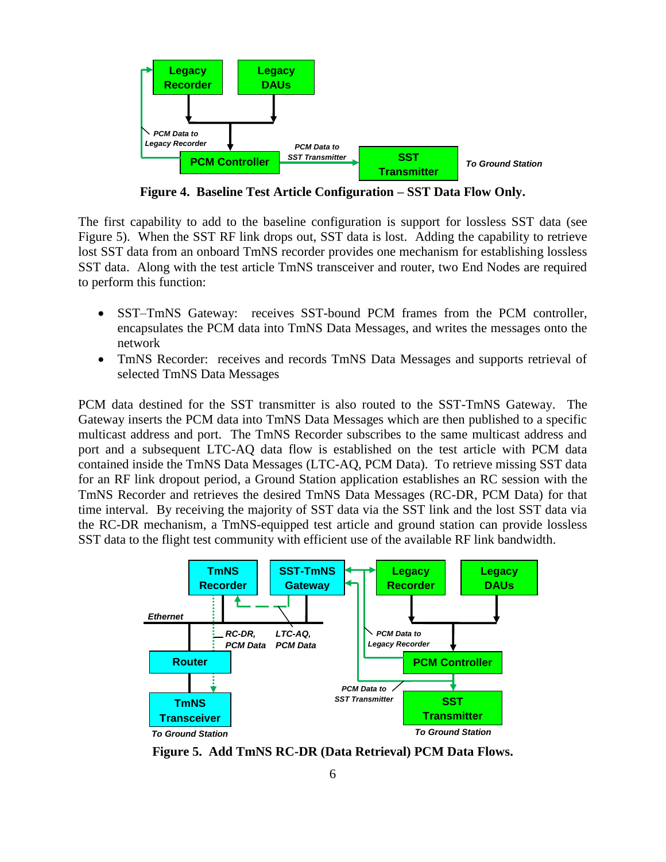

**Figure 4. Baseline Test Article Configuration – SST Data Flow Only.**

The first capability to add to the baseline configuration is support for lossless SST data (see Figure 5). When the SST RF link drops out, SST data is lost. Adding the capability to retrieve lost SST data from an onboard TmNS recorder provides one mechanism for establishing lossless SST data. Along with the test article TmNS transceiver and router, two End Nodes are required to perform this function:

- SST–TmNS Gateway: receives SST-bound PCM frames from the PCM controller, encapsulates the PCM data into TmNS Data Messages, and writes the messages onto the network
- TmNS Recorder: receives and records TmNS Data Messages and supports retrieval of selected TmNS Data Messages

PCM data destined for the SST transmitter is also routed to the SST-TmNS Gateway. The Gateway inserts the PCM data into TmNS Data Messages which are then published to a specific multicast address and port. The TmNS Recorder subscribes to the same multicast address and port and a subsequent LTC-AQ data flow is established on the test article with PCM data contained inside the TmNS Data Messages (LTC-AQ, PCM Data). To retrieve missing SST data for an RF link dropout period, a Ground Station application establishes an RC session with the TmNS Recorder and retrieves the desired TmNS Data Messages (RC-DR, PCM Data) for that time interval. By receiving the majority of SST data via the SST link and the lost SST data via the RC-DR mechanism, a TmNS-equipped test article and ground station can provide lossless SST data to the flight test community with efficient use of the available RF link bandwidth.



**Figure 5. Add TmNS RC-DR (Data Retrieval) PCM Data Flows.**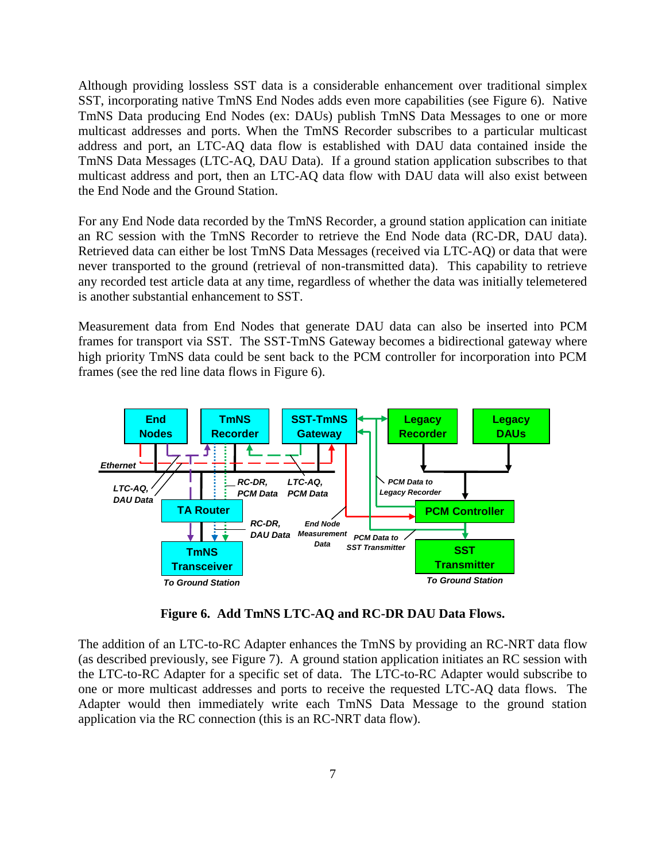Although providing lossless SST data is a considerable enhancement over traditional simplex SST, incorporating native TmNS End Nodes adds even more capabilities (see Figure 6). Native TmNS Data producing End Nodes (ex: DAUs) publish TmNS Data Messages to one or more multicast addresses and ports. When the TmNS Recorder subscribes to a particular multicast address and port, an LTC-AQ data flow is established with DAU data contained inside the TmNS Data Messages (LTC-AQ, DAU Data). If a ground station application subscribes to that multicast address and port, then an LTC-AQ data flow with DAU data will also exist between the End Node and the Ground Station.

For any End Node data recorded by the TmNS Recorder, a ground station application can initiate an RC session with the TmNS Recorder to retrieve the End Node data (RC-DR, DAU data). Retrieved data can either be lost TmNS Data Messages (received via LTC-AQ) or data that were never transported to the ground (retrieval of non-transmitted data). This capability to retrieve any recorded test article data at any time, regardless of whether the data was initially telemetered is another substantial enhancement to SST.

Measurement data from End Nodes that generate DAU data can also be inserted into PCM frames for transport via SST. The SST-TmNS Gateway becomes a bidirectional gateway where high priority TmNS data could be sent back to the PCM controller for incorporation into PCM frames (see the red line data flows in Figure 6).



**Figure 6. Add TmNS LTC-AQ and RC-DR DAU Data Flows.**

The addition of an LTC-to-RC Adapter enhances the TmNS by providing an RC-NRT data flow (as described previously, see Figure 7). A ground station application initiates an RC session with the LTC-to-RC Adapter for a specific set of data. The LTC-to-RC Adapter would subscribe to one or more multicast addresses and ports to receive the requested LTC-AQ data flows. The Adapter would then immediately write each TmNS Data Message to the ground station application via the RC connection (this is an RC-NRT data flow).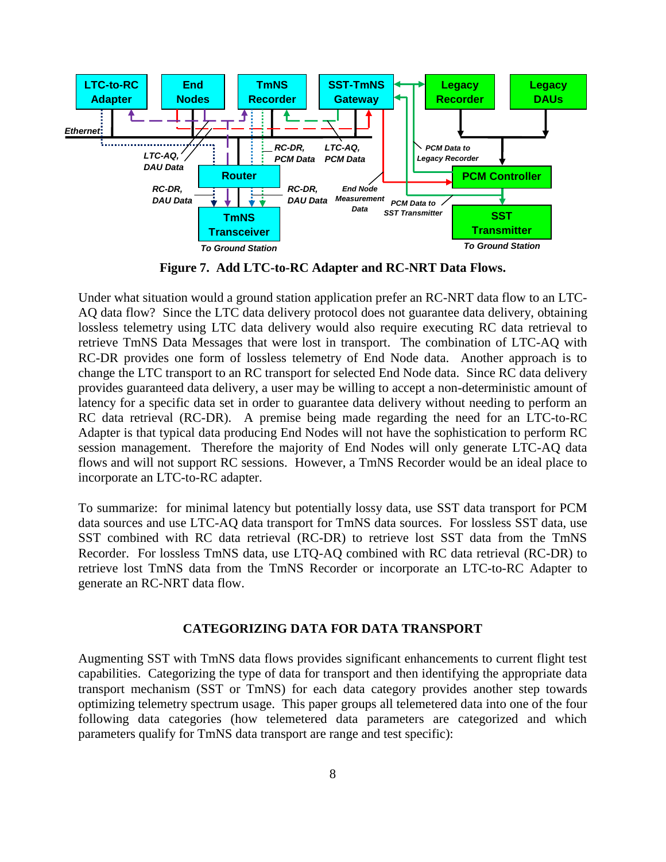

**Figure 7. Add LTC-to-RC Adapter and RC-NRT Data Flows.**

Under what situation would a ground station application prefer an RC-NRT data flow to an LTC-AQ data flow? Since the LTC data delivery protocol does not guarantee data delivery, obtaining lossless telemetry using LTC data delivery would also require executing RC data retrieval to retrieve TmNS Data Messages that were lost in transport. The combination of LTC-AQ with RC-DR provides one form of lossless telemetry of End Node data. Another approach is to change the LTC transport to an RC transport for selected End Node data. Since RC data delivery provides guaranteed data delivery, a user may be willing to accept a non-deterministic amount of latency for a specific data set in order to guarantee data delivery without needing to perform an RC data retrieval (RC-DR). A premise being made regarding the need for an LTC-to-RC Adapter is that typical data producing End Nodes will not have the sophistication to perform RC session management. Therefore the majority of End Nodes will only generate LTC-AQ data flows and will not support RC sessions. However, a TmNS Recorder would be an ideal place to incorporate an LTC-to-RC adapter.

To summarize: for minimal latency but potentially lossy data, use SST data transport for PCM data sources and use LTC-AQ data transport for TmNS data sources. For lossless SST data, use SST combined with RC data retrieval (RC-DR) to retrieve lost SST data from the TmNS Recorder. For lossless TmNS data, use LTQ-AQ combined with RC data retrieval (RC-DR) to retrieve lost TmNS data from the TmNS Recorder or incorporate an LTC-to-RC Adapter to generate an RC-NRT data flow.

### **CATEGORIZING DATA FOR DATA TRANSPORT**

Augmenting SST with TmNS data flows provides significant enhancements to current flight test capabilities. Categorizing the type of data for transport and then identifying the appropriate data transport mechanism (SST or TmNS) for each data category provides another step towards optimizing telemetry spectrum usage. This paper groups all telemetered data into one of the four following data categories (how telemetered data parameters are categorized and which parameters qualify for TmNS data transport are range and test specific):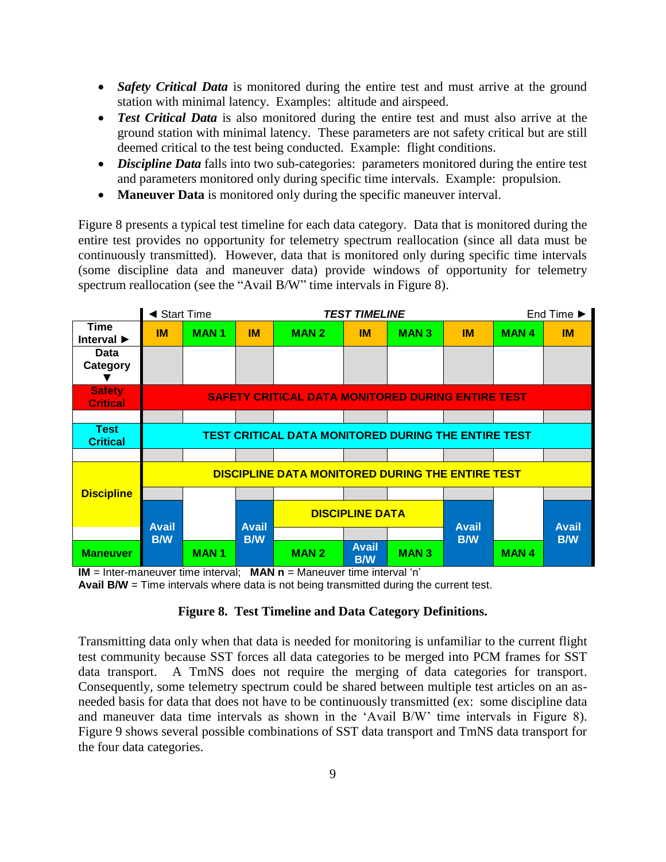- *Safety Critical Data* is monitored during the entire test and must arrive at the ground station with minimal latency. Examples: altitude and airspeed.
- **Test Critical Data** is also monitored during the entire test and must also arrive at the ground station with minimal latency. These parameters are not safety critical but are still deemed critical to the test being conducted. Example: flight conditions.
- *Discipline Data* falls into two sub-categories: parameters monitored during the entire test and parameters monitored only during specific time intervals. Example: propulsion.
- **Maneuver Data** is monitored only during the specific maneuver interval.

Figure 8 presents a typical test timeline for each data category. Data that is monitored during the entire test provides no opportunity for telemetry spectrum reallocation (since all data must be continuously transmitted). However, data that is monitored only during specific time intervals (some discipline data and maneuver data) provide windows of opportunity for telemetry spectrum reallocation (see the "Avail B/W" time intervals in Figure 8).

|                                        | ◀ Start Time                                               |             |              |                        | <b>TEST TIMELINE</b>       | End Time $\blacktriangleright$ |            |              |            |  |  |  |
|----------------------------------------|------------------------------------------------------------|-------------|--------------|------------------------|----------------------------|--------------------------------|------------|--------------|------------|--|--|--|
| Time<br>Interval $\blacktriangleright$ | <b>IM</b>                                                  | <b>MAN1</b> | <b>IM</b>    | <b>MAN2</b>            | <b>IM</b>                  | <b>MAN3</b>                    | <b>IM</b>  | <b>MAN4</b>  | <b>IM</b>  |  |  |  |
| <b>Data</b><br>Category                |                                                            |             |              |                        |                            |                                |            |              |            |  |  |  |
| <b>Safety</b><br><b>Critical</b>       | <b>SAFETY CRITICAL DATA MONITORED DURING ENTIRE TEST</b>   |             |              |                        |                            |                                |            |              |            |  |  |  |
|                                        |                                                            |             |              |                        |                            |                                |            |              |            |  |  |  |
| <b>Test</b><br><b>Critical</b>         | <b>TEST CRITICAL DATA MONITORED DURING THE ENTIRE TEST</b> |             |              |                        |                            |                                |            |              |            |  |  |  |
|                                        |                                                            |             |              |                        |                            |                                |            |              |            |  |  |  |
|                                        | DISCIPLINE DATA MONITORED DURING THE ENTIRE TEST           |             |              |                        |                            |                                |            |              |            |  |  |  |
| <b>Discipline</b>                      |                                                            |             |              |                        |                            |                                |            |              |            |  |  |  |
|                                        | <b>Avail</b><br><b>B/W</b>                                 |             | <b>Avail</b> | <b>DISCIPLINE DATA</b> |                            | <b>Avail</b>                   |            | <b>Avail</b> |            |  |  |  |
|                                        |                                                            |             | <b>B/W</b>   |                        |                            |                                | <b>B/W</b> |              | <b>B/W</b> |  |  |  |
| <b>Maneuver</b>                        |                                                            | <b>MAN1</b> |              | <b>MAN2</b>            | <b>Avail</b><br><b>B/W</b> | <b>MAN3</b>                    |            | <b>MAN4</b>  |            |  |  |  |

**IM** = Inter-maneuver time interval; **MAN n** = Maneuver time interval 'n'

**Avail B/W** = Time intervals where data is not being transmitted during the current test.

### **Figure 8. Test Timeline and Data Category Definitions.**

Transmitting data only when that data is needed for monitoring is unfamiliar to the current flight test community because SST forces all data categories to be merged into PCM frames for SST data transport. A TmNS does not require the merging of data categories for transport. Consequently, some telemetry spectrum could be shared between multiple test articles on an asneeded basis for data that does not have to be continuously transmitted (ex: some discipline data and maneuver data time intervals as shown in the "Avail B/W" time intervals in Figure 8). Figure 9 shows several possible combinations of SST data transport and TmNS data transport for the four data categories.